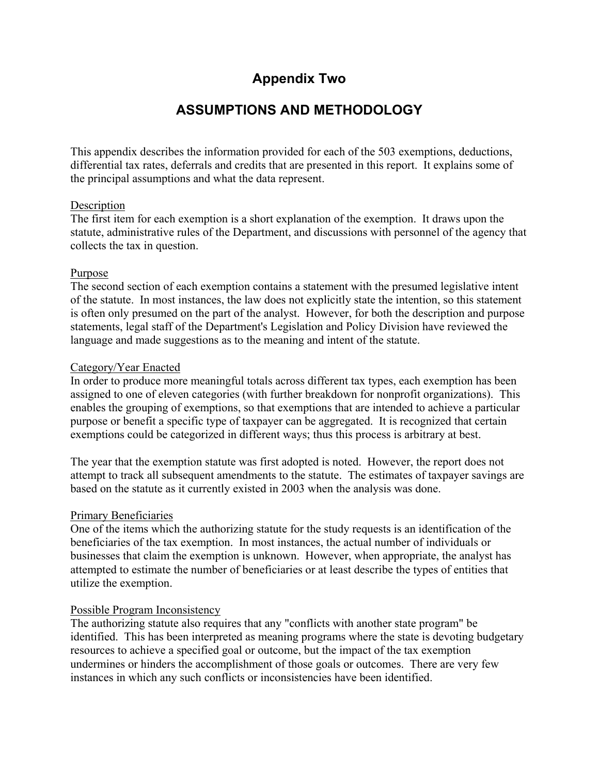# **Appendix Two**

# **ASSUMPTIONS AND METHODOLOGY**

This appendix describes the information provided for each of the 503 exemptions, deductions, differential tax rates, deferrals and credits that are presented in this report. It explains some of the principal assumptions and what the data represent.

## **Description**

The first item for each exemption is a short explanation of the exemption. It draws upon the statute, administrative rules of the Department, and discussions with personnel of the agency that collects the tax in question.

## Purpose

The second section of each exemption contains a statement with the presumed legislative intent of the statute. In most instances, the law does not explicitly state the intention, so this statement is often only presumed on the part of the analyst. However, for both the description and purpose statements, legal staff of the Department's Legislation and Policy Division have reviewed the language and made suggestions as to the meaning and intent of the statute.

## Category/Year Enacted

In order to produce more meaningful totals across different tax types, each exemption has been assigned to one of eleven categories (with further breakdown for nonprofit organizations). This enables the grouping of exemptions, so that exemptions that are intended to achieve a particular purpose or benefit a specific type of taxpayer can be aggregated. It is recognized that certain exemptions could be categorized in different ways; thus this process is arbitrary at best.

The year that the exemption statute was first adopted is noted. However, the report does not attempt to track all subsequent amendments to the statute. The estimates of taxpayer savings are based on the statute as it currently existed in 2003 when the analysis was done.

# Primary Beneficiaries

One of the items which the authorizing statute for the study requests is an identification of the beneficiaries of the tax exemption. In most instances, the actual number of individuals or businesses that claim the exemption is unknown. However, when appropriate, the analyst has attempted to estimate the number of beneficiaries or at least describe the types of entities that utilize the exemption.

# Possible Program Inconsistency

The authorizing statute also requires that any "conflicts with another state program" be identified. This has been interpreted as meaning programs where the state is devoting budgetary resources to achieve a specified goal or outcome, but the impact of the tax exemption undermines or hinders the accomplishment of those goals or outcomes. There are very few instances in which any such conflicts or inconsistencies have been identified.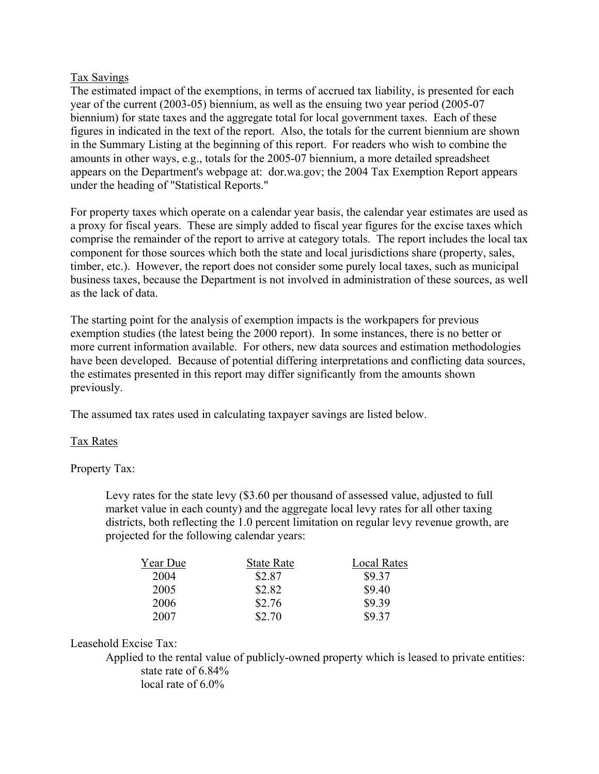#### Tax Savings

The estimated impact of the exemptions, in terms of accrued tax liability, is presented for each year of the current (2003-05) biennium, as well as the ensuing two year period (2005-07 biennium) for state taxes and the aggregate total for local government taxes. Each of these figures in indicated in the text of the report. Also, the totals for the current biennium are shown in the Summary Listing at the beginning of this report. For readers who wish to combine the amounts in other ways, e.g., totals for the 2005-07 biennium, a more detailed spreadsheet appears on the Department's webpage at: dor.wa.gov; the 2004 Tax Exemption Report appears under the heading of "Statistical Reports."

For property taxes which operate on a calendar year basis, the calendar year estimates are used as a proxy for fiscal years. These are simply added to fiscal year figures for the excise taxes which comprise the remainder of the report to arrive at category totals. The report includes the local tax component for those sources which both the state and local jurisdictions share (property, sales, timber, etc.). However, the report does not consider some purely local taxes, such as municipal business taxes, because the Department is not involved in administration of these sources, as well as the lack of data.

The starting point for the analysis of exemption impacts is the workpapers for previous exemption studies (the latest being the 2000 report). In some instances, there is no better or more current information available. For others, new data sources and estimation methodologies have been developed. Because of potential differing interpretations and conflicting data sources, the estimates presented in this report may differ significantly from the amounts shown previously.

The assumed tax rates used in calculating taxpayer savings are listed below.

# Tax Rates

# Property Tax:

Levy rates for the state levy (\$3.60 per thousand of assessed value, adjusted to full market value in each county) and the aggregate local levy rates for all other taxing districts, both reflecting the 1.0 percent limitation on regular levy revenue growth, are projected for the following calendar years:

| <b>State Rate</b> | <b>Local Rates</b> |
|-------------------|--------------------|
| \$2.87            | \$9.37             |
| \$2.82            | \$9.40             |
| \$2.76            | \$9.39             |
| \$2.70            | \$9.37             |
|                   |                    |

# Leasehold Excise Tax:

 Applied to the rental value of publicly-owned property which is leased to private entities: state rate of 6.84% local rate of 6.0%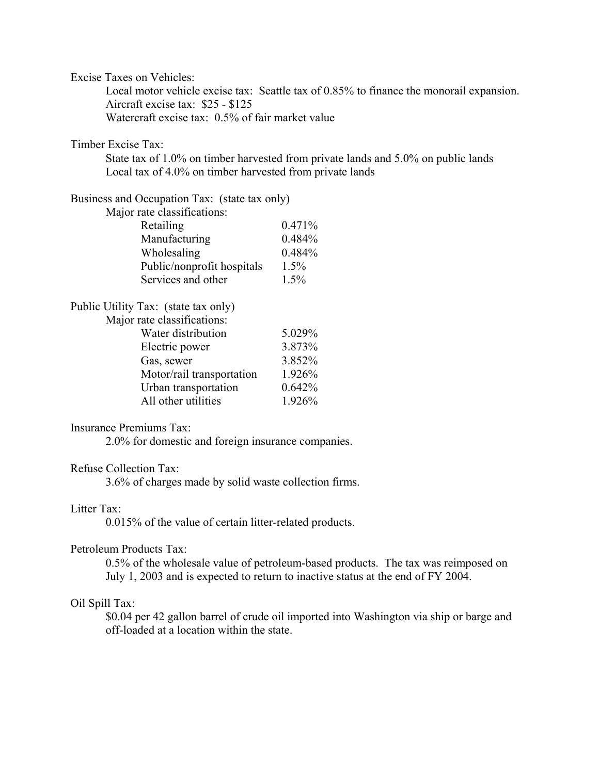#### Excise Taxes on Vehicles:

Local motor vehicle excise tax: Seattle tax of 0.85% to finance the monorail expansion. Aircraft excise tax: \$25 - \$125 Watercraft excise tax: 0.5% of fair market value

#### Timber Excise Tax:

 State tax of 1.0% on timber harvested from private lands and 5.0% on public lands Local tax of 4.0% on timber harvested from private lands

#### Business and Occupation Tax: (state tax only)

Major rate classifications:

| Retailing                  | $0.471\%$ |
|----------------------------|-----------|
| Manufacturing              | 0.484%    |
| Wholesaling                | 0.484%    |
| Public/nonprofit hospitals | $1.5\%$   |
| Services and other         | $1.5\%$   |

## Public Utility Tax: (state tax only)

Major rate classifications:

| Water distribution        | 5.029% |
|---------------------------|--------|
| Electric power            | 3.873% |
| Gas, sewer                | 3.852% |
| Motor/rail transportation | 1.926% |
| Urban transportation      | 0.642% |
| All other utilities       | 1.926% |
|                           |        |

#### Insurance Premiums Tax:

2.0% for domestic and foreign insurance companies.

#### Refuse Collection Tax:

3.6% of charges made by solid waste collection firms.

#### Litter Tax:

0.015% of the value of certain litter-related products.

#### Petroleum Products Tax:

0.5% of the wholesale value of petroleum-based products. The tax was reimposed on July 1, 2003 and is expected to return to inactive status at the end of FY 2004.

## Oil Spill Tax:

\$0.04 per 42 gallon barrel of crude oil imported into Washington via ship or barge and off-loaded at a location within the state.